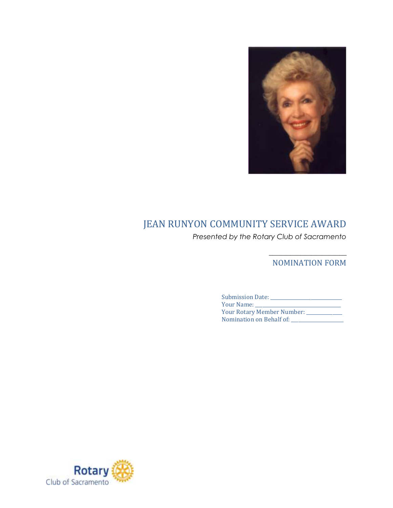

## JEAN RUNYON COMMUNITY SERVICE AWARD

*Presented by the Rotary Club of Sacramento*

\_\_\_\_\_\_\_\_\_\_\_\_\_\_\_\_\_\_\_\_\_\_ NOMINATION FORM

| Submission Date:             |
|------------------------------|
| Your Name:                   |
| Your Rotary Member Number: _ |
| Nomination on Behalf of:     |

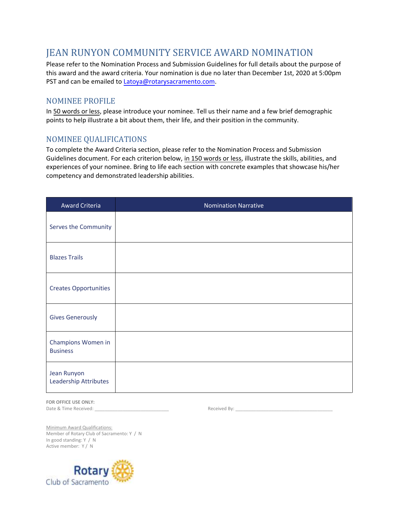## JEAN RUNYON COMMUNITY SERVICE AWARD NOMINATION

Please refer to the Nomination Process and Submission Guidelines for full details about the purpose of this award and the award criteria. Your nomination is due no later than December 1st, 2020 at 5:00pm PST and can be emailed to [Latoya@rotarysacramento.com.](mailto:latoya@rotarysacramento.com)

## NOMINEE PROFILE

In 50 words or less, please introduce your nominee. Tell us their name and a few brief demographic points to help illustrate a bit about them, their life, and their position in the community.

## NOMINEE QUALIFICATIONS

To complete the Award Criteria section, please refer to the Nomination Process and Submission Guidelines document. For each criterion below, in 150 words or less, illustrate the skills, abilities, and experiences of your nominee. Bring to life each section with concrete examples that showcase his/her competency and demonstrated leadership abilities.

| <b>Award Criteria</b>                 | <b>Nomination Narrative</b> |
|---------------------------------------|-----------------------------|
| Serves the Community                  |                             |
| <b>Blazes Trails</b>                  |                             |
| <b>Creates Opportunities</b>          |                             |
| <b>Gives Generously</b>               |                             |
| Champions Women in<br><b>Business</b> |                             |
| Jean Runyon<br>Leadership Attributes  |                             |

**FOR OFFICE USE ONLY:** Date & Time Received: \_\_\_\_\_\_\_\_\_\_\_\_\_\_\_\_\_\_\_\_\_\_\_\_\_\_\_\_\_ Received By: \_\_\_\_\_\_\_\_\_\_\_\_\_\_\_\_\_\_\_\_\_\_\_\_\_\_\_\_\_\_\_\_\_\_\_\_\_\_

Minimum Award Qualifications: Member of Rotary Club of Sacramento: Y / N In good standing: Y / N Active member: Y / N